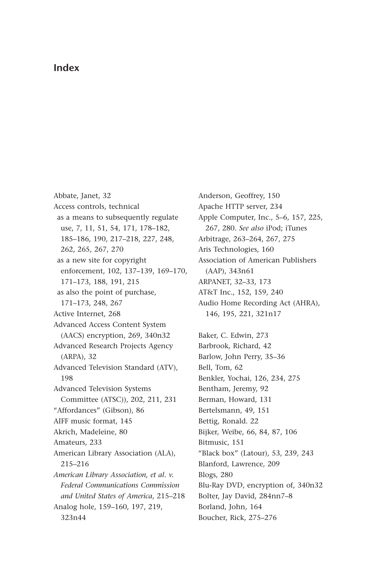## **Index**

Abbate, Janet, 32 Access controls, technical as a means to subsequently regulate use, 7, 11, 51, 54, 171, 178–182, 185–186, 190, 217–218, 227, 248, 262, 265, 267, 270 as a new site for copyright enforcement, 102, 137–139, 169–170, 171–173, 188, 191, 215 as also the point of purchase, 171–173, 248, 267 Active Internet, 268 Advanced Access Content System (AACS) encryption, 269, 340n32 Advanced Research Projects Agency (ARPA), 32 Advanced Television Standard (ATV), 198 Advanced Television Systems Committee (ATSC)), 202, 211, 231 "Affordances" (Gibson), 86 AIFF music format, 145 Akrich, Madeleine, 80 Amateurs, 233 American Library Association (ALA), 215–216 *American Library Association, et al. v. Federal Communications Commission and United States of America*, 215–218 Analog hole, 159–160, 197, 219, 323n44

Anderson, Geoffrey, 150 Apache HTTP server, 234 Apple Computer, Inc., 5–6, 157, 225, 267, 280. *See also* iPod; iTunes Arbitrage, 263–264, 267, 275 Aris Technologies, 160 Association of American Publishers (AAP), 343n61 ARPANET, 32–33, 173 AT&T Inc., 152, 159, 240 Audio Home Recording Act (AHRA), 146, 195, 221, 321n17 Baker, C. Edwin, 273 Barbrook, Richard, 42 Barlow, John Perry, 35–36 Bell, Tom, 62 Benkler, Yochai, 126, 234, 275 Bentham, Jeremy, 92 Berman, Howard, 131 Bertelsmann, 49, 151 Bettig, Ronald. 22 Bijker, Weibe, 66, 84, 87, 106 Bitmusic, 151 "Black box" (Latour), 53, 239, 243 Blanford, Lawrence, 209 Blogs, 280 Blu-Ray DVD, encryption of, 340n32 Bolter, Jay David, 284nn7–8 Borland, John, 164 Boucher, Rick, 275–276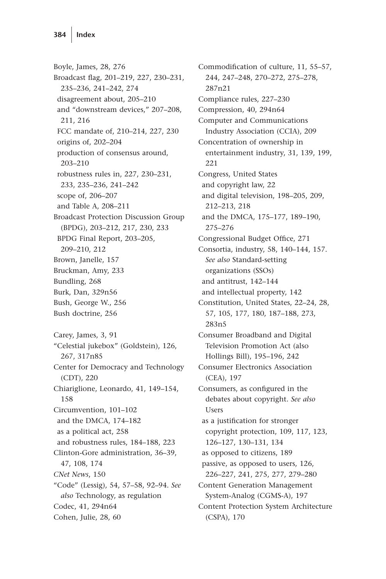Boyle, James, 28, 276 Broadcast flag, 201–219, 227, 230–231, 235–236, 241–242, 274 disagreement about, 205–210 and "downstream devices," 207–208, 211, 216 FCC mandate of, 210–214, 227, 230 origins of, 202–204 production of consensus around, 203–210 robustness rules in, 227, 230–231, 233, 235–236, 241–242 scope of, 206–207 and Table A, 208–211 Broadcast Protection Discussion Group (BPDG), 203–212, 217, 230, 233 BPDG Final Report, 203–205, 209–210, 212 Brown, Janelle, 157 Bruckman, Amy, 233 Bundling, 268 Burk, Dan, 329n56 Bush, George W., 256 Bush doctrine, 256 Carey, James, 3, 91 "Celestial jukebox" (Goldstein), 126, 267, 317n85 Center for Democracy and Technology (CDT), 220 Chiariglione, Leonardo, 41, 149–154, 158 Circumvention, 101–102 and the DMCA, 174–182 as a political act, 258 and robustness rules, 184–188, 223 Clinton-Gore administration, 36–39, 47, 108, 174 *CNet News*, 150 "Code" (Lessig), 54, 57–58, 92–94. *See also* Technology, as regulation Codec, 41, 294n64 Cohen, Julie, 28, 60

Commodification of culture, 11, 55–57, 244, 247–248, 270–272, 275–278, 287n21 Compliance rules, 227–230 Compression, 40, 294n64 Computer and Communications Industry Association (CCIA), 209 Concentration of ownership in entertainment industry, 31, 139, 199, 221 Congress, United States and copyright law, 22 and digital television, 198–205, 209, 212–213, 218 and the DMCA, 175–177, 189–190, 275–276 Congressional Budget Office, 271 Consortia, industry, 58, 140–144, 157. *See also* Standard-setting organizations (SSOs) and antitrust, 142–144 and intellectual property, 142 Constitution, United States, 22–24, 28, 57, 105, 177, 180, 187–188, 273, 283n5 Consumer Broadband and Digital Television Promotion Act (also Hollings Bill), 195–196, 242 Consumer Electronics Association (CEA), 197 Consumers, as configured in the debates about copyright. *See also* Users as a justification for stronger copyright protection, 109, 117, 123, 126–127, 130–131, 134 as opposed to citizens, 189 passive, as opposed to users, 126, 226–227, 241, 275, 277, 279–280 Content Generation Management System-Analog (CGMS-A), 197 Content Protection System Architecture (CSPA), 170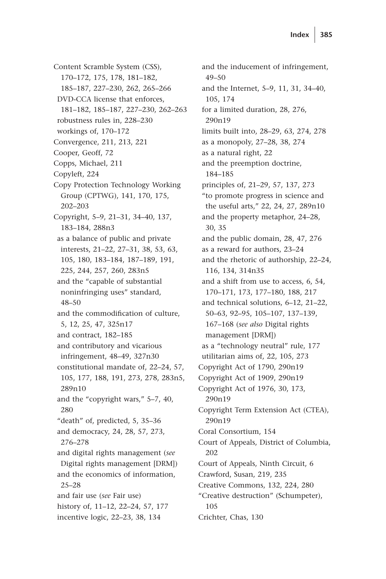Content Scramble System (CSS), 170–172, 175, 178, 181–182, 185–187, 227–230, 262, 265–266 DVD-CCA license that enforces, 181–182, 185–187, 227–230, 262–263 robustness rules in, 228–230 workings of, 170–172 Convergence, 211, 213, 221 Cooper, Geoff, 72 Copps, Michael, 211 Copyleft, 224 Copy Protection Technology Working Group (CPTWG), 141, 170, 175, 202–203 Copyright, 5–9, 21–31, 34–40, 137, 183–184, 288n3 as a balance of public and private interests, 21–22, 27–31, 38, 53, 63, 105, 180, 183–184, 187–189, 191, 225, 244, 257, 260, 283n5 and the "capable of substantial noninfringing uses" standard, 48–50 and the commodification of culture, 5, 12, 25, 47, 325n17 and contract, 182–185 and contributory and vicarious infringement, 48–49, 327n30 constitutional mandate of, 22–24, 57, 105, 177, 188, 191, 273, 278, 283n5, 289n10 and the "copyright wars," 5–7, 40, 280 "death" of, predicted, 5, 35–36 and democracy, 24, 28, 57, 273, 276–278 and digital rights management (*see* Digital rights management [DRM]) and the economics of information, 25–28 and fair use (*see* Fair use) history of, 11–12, 22–24, 57, 177 incentive logic, 22–23, 38, 134

and the inducement of infringement, 49–50 and the Internet, 5–9, 11, 31, 34–40, 105, 174 for a limited duration, 28, 276, 290n19 limits built into, 28–29, 63, 274, 278 as a monopoly, 27–28, 38, 274 as a natural right, 22 and the preemption doctrine, 184–185 principles of, 21–29, 57, 137, 273 "to promote progress in science and the useful arts," 22, 24, 27, 289n10 and the property metaphor, 24–28, 30, 35 and the public domain, 28, 47, 276 as a reward for authors, 23–24 and the rhetoric of authorship, 22–24, 116, 134, 314n35 and a shift from use to access, 6, 54, 170–171, 173, 177–180, 188, 217 and technical solutions, 6–12, 21–22, 50–63, 92–95, 105–107, 137–139, 167–168 (*see also* Digital rights management [DRM]) as a "technology neutral" rule, 177 utilitarian aims of, 22, 105, 273 Copyright Act of 1790, 290n19 Copyright Act of 1909, 290n19 Copyright Act of 1976, 30, 173, 290n19 Copyright Term Extension Act (CTEA), 290n19 Coral Consortium, 154 Court of Appeals, District of Columbia, 202 Court of Appeals, Ninth Circuit, 6 Crawford, Susan, 219, 235 Creative Commons, 132, 224, 280 "Creative destruction" (Schumpeter), 105 Crichter, Chas, 130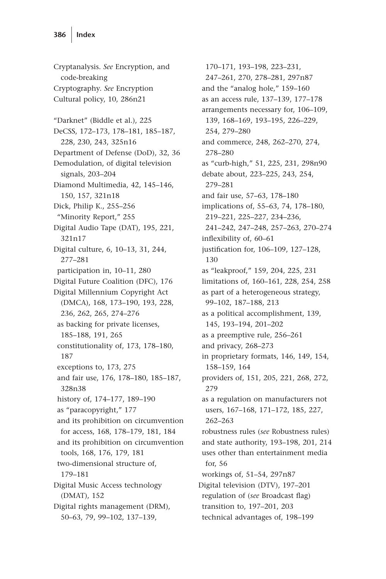Cryptanalysis. *See* Encryption, and code-breaking Cryptography. *See* Encryption Cultural policy, 10, 286n21 "Darknet" (Biddle et al.), 225 DeCSS, 172–173, 178–181, 185–187, 228, 230, 243, 325n16 Department of Defense (DoD), 32, 36 Demodulation, of digital television signals, 203–204 Diamond Multimedia, 42, 145–146, 150, 157, 321n18 Dick, Philip K., 255–256 "Minority Report," 255 Digital Audio Tape (DAT), 195, 221, 321n17 Digital culture, 6, 10–13, 31, 244, 277–281 participation in, 10–11, 280 Digital Future Coalition (DFC), 176 Digital Millennium Copyright Act (DMCA), 168, 173–190, 193, 228, 236, 262, 265, 274–276 as backing for private licenses, 185–188, 191, 265 constitutionality of, 173, 178–180, 187 exceptions to, 173, 275 and fair use, 176, 178–180, 185–187, 328n38 history of, 174–177, 189–190 as "paracopyright," 177 and its prohibition on circumvention for access, 168, 178–179, 181, 184 and its prohibition on circumvention tools, 168, 176, 179, 181 two-dimensional structure of, 179–181 Digital Music Access technology (DMAT), 152 Digital rights management (DRM), 50–63, 79, 99–102, 137–139,

170–171, 193–198, 223–231, 247–261, 270, 278–281, 297n87 and the "analog hole," 159–160 as an access rule, 137–139, 177–178 arrangements necessary for, 106–109, 139, 168–169, 193–195, 226–229, 254, 279–280 and commerce, 248, 262–270, 274, 278–280 as "curb-high," 51, 225, 231, 298n90 debate about, 223–225, 243, 254, 279–281 and fair use, 57–63, 178–180 implications of, 55–63, 74, 178–180, 219–221, 225–227, 234–236, 241–242, 247–248, 257–263, 270–274 inflexibility of, 60–61 justification for, 106–109, 127–128, 130 as "leakproof," 159, 204, 225, 231 limitations of, 160–161, 228, 254, 258 as part of a heterogeneous strategy, 99–102, 187–188, 213 as a political accomplishment, 139, 145, 193–194, 201–202 as a preemptive rule, 256–261 and privacy, 268–273 in proprietary formats, 146, 149, 154, 158–159, 164 providers of, 151, 205, 221, 268, 272, 279 as a regulation on manufacturers not users, 167–168, 171–172, 185, 227, 262–263 robustness rules (*see* Robustness rules) and state authority, 193–198, 201, 214 uses other than entertainment media for, 56 workings of, 51–54, 297n87 Digital television (DTV), 197–201 regulation of (*see* Broadcast flag) transition to, 197–201, 203 technical advantages of, 198–199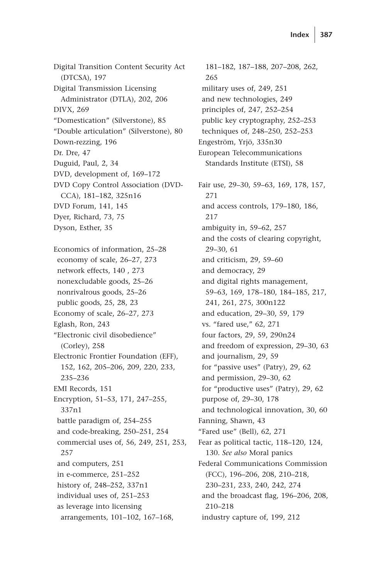Digital Transition Content Security Act (DTCSA), 197 Digital Transmission Licensing Administrator (DTLA), 202, 206 DIVX, 269 "Domestication" (Silverstone), 85 "Double articulation" (Silverstone), 80 Down-rezzing, 196 Dr. Dre, 47 Duguid, Paul, 2, 34 DVD, development of, 169–172 DVD Copy Control Association (DVD-CCA), 181–182, 325n16 DVD Forum, 141, 145 Dyer, Richard, 73, 75 Dyson, Esther, 35

Economics of information, 25–28 economy of scale, 26–27, 273 network effects, 140 , 273 nonexcludable goods, 25–26 nonrivalrous goods, 25–26 public goods, 25, 28, 23 Economy of scale, 26–27, 273 Eglash, Ron, 243 "Electronic civil disobedience" (Corley), 258 Electronic Frontier Foundation (EFF), 152, 162, 205–206, 209, 220, 233, 235–236 EMI Records, 151 Encryption, 51–53, 171, 247–255, 337n1 battle paradigm of, 254–255 and code-breaking, 250–251, 254 commercial uses of, 56, 249, 251, 253, 257 and computers, 251 in e-commerce, 251–252 history of, 248–252, 337n1 individual uses of, 251–253 as leverage into licensing arrangements, 101–102, 167–168,

181–182, 187–188, 207–208, 262, 265 military uses of, 249, 251 and new technologies, 249 principles of, 247, 252–254 public key cryptography, 252–253 techniques of, 248–250, 252–253 Engeström, Yrjö, 335n30 European Telecommunications Standards Institute (ETSI), 58 Fair use, 29–30, 59–63, 169, 178, 157, 271 and access controls, 179–180, 186, 217 ambiguity in, 59–62, 257 and the costs of clearing copyright, 29–30, 61 and criticism, 29, 59–60 and democracy, 29 and digital rights management, 59–63, 169, 178–180, 184–185, 217, 241, 261, 275, 300n122 and education, 29–30, 59, 179 vs. "fared use," 62, 271 four factors, 29, 59, 290n24 and freedom of expression, 29–30, 63 and journalism, 29, 59 for "passive uses" (Patry), 29, 62 and permission, 29–30, 62 for "productive uses" (Patry), 29, 62 purpose of, 29–30, 178 and technological innovation, 30, 60 Fanning, Shawn, 43 "Fared use" (Bell), 62, 271 Fear as political tactic, 118–120, 124, 130. *See also* Moral panics Federal Communications Commission (FCC), 196–206, 208, 210–218, 230–231, 233, 240, 242, 274 and the broadcast flag, 196–206, 208, 210–218 industry capture of, 199, 212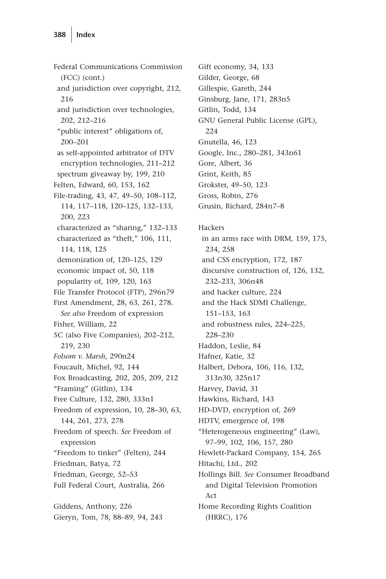Federal Communications Commission (FCC) (cont.) and jurisdiction over copyright, 212, 216 and jurisdiction over technologies, 202, 212–216 "public interest" obligations of, 200–201 as self-appointed arbitrator of DTV encryption technologies, 211–212 spectrum giveaway by, 199, 210 Felten, Edward, 60, 153, 162 File-trading, 43, 47, 49–50, 108–112, 114, 117–118, 120–125, 132–133, 200, 223 characterized as "sharing," 132–133 characterized as "theft," 106, 111, 114, 118, 125 demonization of, 120–125, 129 economic impact of, 50, 118 popularity of, 109, 120, 163 File Transfer Protocol (FTP), 296n79 First Amendment, 28, 63, 261, 278. *See also* Freedom of expression Fisher, William, 22 5C (also Five Companies), 202–212, 219, 230 *Folsom v. Marsh*, 290n24 Foucault, Michel, 92, 144 Fox Broadcasting, 202, 205, 209, 212 "Framing" (Gitlin), 134 Free Culture, 132, 280, 333n1 Freedom of expression, 10, 28–30, 63, 144, 261, 273, 278 Freedom of speech. *See* Freedom of expression "Freedom to tinker" (Felten), 244 Friedman, Batya, 72 Friedman, George, 52–53 Full Federal Court, Australia, 266 Giddens, Anthony, 226 Gieryn, Tom, 78, 88–89, 94, 243

Gift economy, 34, 133 Gilder, George, 68 Gillespie, Gareth, 244 Ginsburg, Jane, 171, 283n5 Gitlin, Todd, 134 GNU General Public License (GPL), 224 Gnutella, 46, 123 Google, Inc., 280–281, 343n61 Gore, Albert, 36 Grint, Keith, 85 Grokster, 49–50, 123 Gross, Robin, 276 Grusin, Richard, 284n7–8 Hackers in an arms race with DRM, 159, 175, 234, 258 and CSS encryption, 172, 187 discursive construction of, 126, 132, 232–233, 306n48 and hacker culture, 224 and the Hack SDMI Challenge, 151–153, 163 and robustness rules, 224–225, 228–230 Haddon, Leslie, 84 Hafner, Katie, 32 Halbert, Debora, 106, 116, 132, 313n30, 325n17 Harvey, David, 31 Hawkins, Richard, 143 HD-DVD, encryption of, 269 HDTV, emergence of, 198 "Heterogeneous engineering" (Law), 97–99, 102, 106, 157, 280 Hewlett-Packard Company, 154, 265 Hitachi, Ltd., 202 Hollings Bill. *See* Consumer Broadband and Digital Television Promotion Act Home Recording Rights Coalition

(HRRC), 176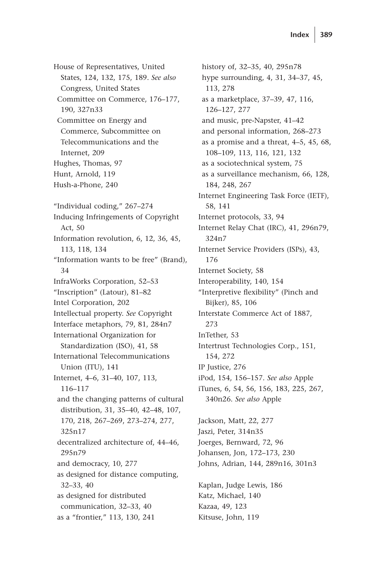House of Representatives, United States, 124, 132, 175, 189. *See also* Congress, United States Committee on Commerce, 176–177, 190, 327n33 Committee on Energy and Commerce, Subcommittee on Telecommunications and the Internet, 209 Hughes, Thomas, 97 Hunt, Arnold, 119 Hush-a-Phone, 240 "Individual coding," 267–274 Inducing Infringements of Copyright Act, 50 Information revolution, 6, 12, 36, 45, 113, 118, 134 "Information wants to be free" (Brand), 34 InfraWorks Corporation, 52–53 "Inscription" (Latour), 81–82 Intel Corporation, 202 Intellectual property. *See* Copyright Interface metaphors, 79, 81, 284n7 International Organization for Standardization (ISO), 41, 58 International Telecommunications Union (ITU), 141 Internet, 4–6, 31–40, 107, 113, 116–117 and the changing patterns of cultural distribution, 31, 35–40, 42–48, 107, 170, 218, 267–269, 273–274, 277, 325n17 decentralized architecture of, 44–46, 295n79 and democracy, 10, 277 as designed for distance computing, 32–33, 40 as designed for distributed communication, 32–33, 40 as a "frontier," 113, 130, 241

history of, 32–35, 40, 295n78 hype surrounding, 4, 31, 34–37, 45, 113, 278 as a marketplace, 37–39, 47, 116, 126–127, 277 and music, pre-Napster, 41–42 and personal information, 268–273 as a promise and a threat, 4–5, 45, 68, 108–109, 113, 116, 121, 132 as a sociotechnical system, 75 as a surveillance mechanism, 66, 128, 184, 248, 267 Internet Engineering Task Force (IETF), 58, 141 Internet protocols, 33, 94 Internet Relay Chat (IRC), 41, 296n79, 324n7 Internet Service Providers (ISPs), 43, 176 Internet Society, 58 Interoperability, 140, 154 "Interpretive flexibility" (Pinch and Bijker), 85, 106 Interstate Commerce Act of 1887, 273 InTether, 53 Intertrust Technologies Corp., 151, 154, 272 IP Justice, 276 iPod, 154, 156–157. *See also* Apple iTunes, 6, 54, 56, 156, 183, 225, 267, 340n26. *See also* Apple Jackson, Matt, 22, 277 Jaszi, Peter, 314n35 Joerges, Bernward, 72, 96 Johansen, Jon, 172–173, 230 Johns, Adrian, 144, 289n16, 301n3

Kaplan, Judge Lewis, 186 Katz, Michael, 140 Kazaa, 49, 123 Kitsuse, John, 119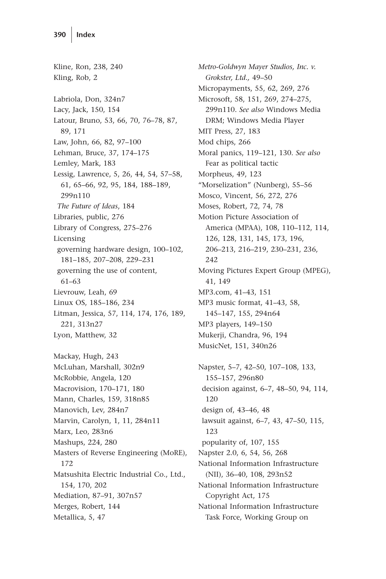Kline, Ron, 238, 240 Kling, Rob, 2 Labriola, Don, 324n7 Lacy, Jack, 150, 154 Latour, Bruno, 53, 66, 70, 76–78, 87, 89, 171 Law, John, 66, 82, 97–100 Lehman, Bruce, 37, 174–175 Lemley, Mark, 183 Lessig, Lawrence, 5, 26, 44, 54, 57–58, 61, 65–66, 92, 95, 184, 188–189, 299n110 *The Future of Ideas*, 184 Libraries, public, 276 Library of Congress, 275–276 Licensing governing hardware design, 100–102, 181–185, 207–208, 229–231 governing the use of content, 61–63 Lievrouw, Leah, 69 Linux OS, 185–186, 234 Litman, Jessica, 57, 114, 174, 176, 189, 221, 313n27 Lyon, Matthew, 32 Mackay, Hugh, 243 McLuhan, Marshall, 302n9

McRobbie, Angela, 120 Macrovision, 170–171, 180 Mann, Charles, 159, 318n85 Manovich, Lev, 284n7 Marvin, Carolyn, 1, 11, 284n11 Marx, Leo, 283n6 Mashups, 224, 280 Masters of Reverse Engineering (MoRE), 172 Matsushita Electric Industrial Co., Ltd., 154, 170, 202 Mediation, 87–91, 307n57 Merges, Robert, 144 Metallica, 5, 47

*Metro-Goldwyn Mayer Studios, Inc. v. Grokster, Ltd.,* 49–50 Micropayments, 55, 62, 269, 276 Microsoft, 58, 151, 269, 274–275, 299n110. *See also* Windows Media DRM; Windows Media Player MIT Press, 27, 183 Mod chips, 266 Moral panics, 119–121, 130. *See also* Fear as political tactic Morpheus, 49, 123 "Morselization" (Nunberg), 55–56 Mosco, Vincent, 56, 272, 276 Moses, Robert, 72, 74, 78 Motion Picture Association of America (MPAA), 108, 110–112, 114, 126, 128, 131, 145, 173, 196, 206–213, 216–219, 230–231, 236, 242 Moving Pictures Expert Group (MPEG), 41, 149 MP3.com, 41–43, 151 MP3 music format, 41–43, 58, 145–147, 155, 294n64 MP3 players, 149–150 Mukerji, Chandra, 96, 194 MusicNet, 151, 340n26 Napster, 5–7, 42–50, 107–108, 133, 155–157, 296n80 decision against, 6–7, 48–50, 94, 114, 120 design of, 43–46, 48 lawsuit against, 6–7, 43, 47–50, 115, 123

popularity of, 107, 155

Napster 2.0, 6, 54, 56, 268

National Information Infrastructure (NII), 36–40, 108, 293n52 National Information Infrastructure Copyright Act, 175

National Information Infrastructure Task Force, Working Group on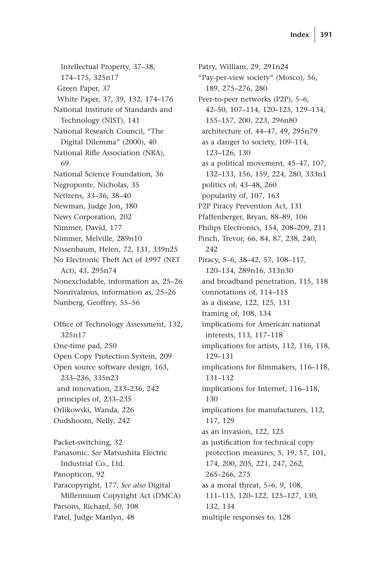Intellectual Property, 37–38, 174–175, 325n17 Green Paper, 37 White Paper, 37, 39, 132, 174–176 National Institute of Standards and Technology (NIST), 141 National Research Council, "The Digital Dilemma" (2000), 40 National Rifle Association (NRA), 69 National Science Foundation, 36 Negroponte, Nicholas, 35 Netizens, 33–36, 38–40 Newman, Judge Jon, 180 News Corporation, 202 Nimmer, David, 177 Nimmer, Melville, 289n10 Nissenbaum, Helen, 72, 131, 339n25 No Electronic Theft Act of 1997 (NET Act), 43, 295n74 Nonexcludable, information as, 25–26 Nonrivalrous, information as, 25–26 Nunberg, Geoffrey, 55–56 Office of Technology Assessment, 132, 325n17 One-time pad, 250 Open Copy Protection System, 209 Open source software design, 163, 233–236, 335n23 and innovation, 233–236, 242 principles of, 233–235 Orlikowski, Wanda, 226 Oudshoorn, Nelly, 242 Packet-switching, 32 Panasonic. *See* Matsushita Electric Industrial Co., Ltd. Panopticon, 92 Paracopyright, 177. *See also* Digital Millennium Copyright Act (DMCA) Parsons, Richard, 50, 108

Patel, Judge Marilyn, 48

Patry, William, 29, 291n24 "Pay-per-view society" (Mosco), 56, 189, 275–276, 280 Peer-to-peer networks (P2P), 5–6, 42–50, 107–114, 120–125, 129–134, 155–157, 200, 223, 296n80 architecture of, 44–47, 49, 295n79 as a danger to society, 109–114, 123–126, 130 as a political movement, 45–47, 107, 132–133, 156, 159, 224, 280, 333n1 politics of, 43–48, 260 popularity of, 107, 163 P2P Piracy Prevention Act, 131 Pfaffenberger, Bryan, 88–89, 106 Philips Electronics, 154, 208–209, 211 Pinch, Trevor, 66, 84, 87, 238, 240, 242 Piracy, 5–6, 38–42, 57, 108–117, 120–134, 289n16, 313n30 and broadband penetration, 115, 118 connotations of, 114–115 as a disease, 122, 125, 131 framing of, 108, 134 implications for American national interests, 113, 117–118 implications for artists, 112, 116, 118, 129–131 implications for filmmakers, 116–118, 131–132 implications for Internet, 116–118, 130 implications for manufacturers, 112, 117, 129 as an invasion, 122, 125 as justification for technical copy protection measures, 5, 19, 57, 101, 174, 200, 205, 221, 247, 262, 265–266, 275 as a moral threat, 5–6, 9, 108, 111–115, 120–122, 125–127, 130, 132, 134 multiple responses to, 128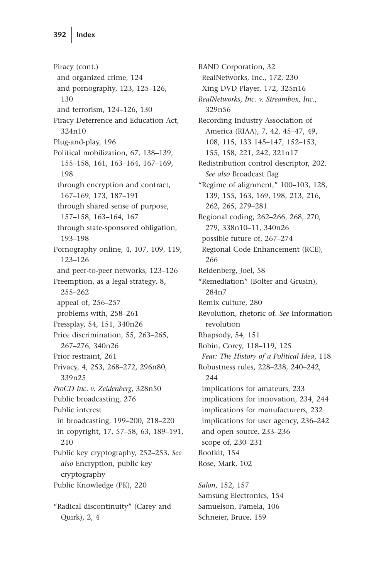Piracy (cont.) and organized crime, 124 and pornography, 123, 125–126, 130 and terrorism, 124–126, 130 Piracy Deterrence and Education Act, 324n10 Plug-and-play, 196 Political mobilization, 67, 138–139, 155–158, 161, 163–164, 167–169, 198 through encryption and contract, 167–169, 173, 187–191 through shared sense of purpose, 157–158, 163–164, 167 through state-sponsored obligation, 193–198 Pornography online, 4, 107, 109, 119, 123–126 and peer-to-peer networks, 123–126 Preemption, as a legal strategy, 8, 255–262 appeal of, 256–257 problems with, 258–261 Pressplay, 54, 151, 340n26 Price discrimination, 55, 263–265, 267–276, 340n26 Prior restraint, 261 Privacy, 4, 253, 268–272, 296n80, 339n25 *ProCD Inc. v. Zeidenberg*, 328n50 Public broadcasting, 276 Public interest in broadcasting, 199–200, 218–220 in copyright, 17, 57–58, 63, 189–191, 210 Public key cryptography, 252–253. *See also* Encryption, public key cryptography Public Knowledge (PK), 220 "Radical discontinuity" (Carey and Quirk), 2, 4

RAND Corporation, 32 RealNetworks, Inc., 172, 230 Xing DVD Player, 172, 325n16 *RealNetworks, Inc. v. Streambox, Inc.*, 329n56 Recording Industry Association of America (RIAA), 7, 42, 45–47, 49, 108, 115, 133 145–147, 152–153, 155, 158, 221, 242, 321n17 Redistribution control descriptor, 202. *See also* Broadcast flag "Regime of alignment," 100–103, 128, 139, 155, 163, 169, 198, 213, 216, 262, 265, 279–281 Regional coding, 262–266, 268, 270, 279, 338n10–11, 340n26 possible future of, 267–274 Regional Code Enhancement (RCE), 266 Reidenberg, Joel, 58 "Remediation" (Bolter and Grusin), 284n7 Remix culture, 280 Revolution, rhetoric of. *See* Information revolution Rhapsody, 54, 151 Robin, Corey, 118–119, 125 *Fear: The History of a Political Idea*, 118 Robustness rules, 228–238, 240–242, 244 implications for amateurs, 233 implications for innovation, 234, 244 implications for manufacturers, 232 implications for user agency, 236–242 and open source, 233–236 scope of, 230–231 Rootkit, 154 Rose, Mark, 102

*Salon*, 152, 157 Samsung Electronics, 154 Samuelson, Pamela, 106 Schneier, Bruce, 159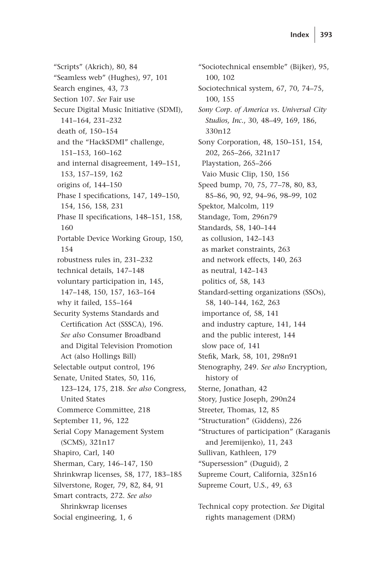"Scripts" (Akrich), 80, 84 "Seamless web" (Hughes), 97, 101 Search engines, 43, 73 Section 107. *See* Fair use Secure Digital Music Initiative (SDMI), 141–164, 231–232 death of, 150–154 and the "HackSDMI" challenge, 151–153, 160–162 and internal disagreement, 149–151, 153, 157–159, 162 origins of, 144–150 Phase I specifications, 147, 149–150, 154, 156, 158, 231 Phase II specifications, 148–151, 158, 160 Portable Device Working Group, 150, 154 robustness rules in, 231–232 technical details, 147–148 voluntary participation in, 145, 147–148, 150, 157, 163–164 why it failed, 155–164 Security Systems Standards and Certification Act (SSSCA), 196. *See also* Consumer Broadband and Digital Television Promotion Act (also Hollings Bill) Selectable output control, 196 Senate, United States, 50, 116, 123–124, 175, 218. *See also* Congress, United States Commerce Committee, 218 September 11, 96, 122 Serial Copy Management System (SCMS), 321n17 Shapiro, Carl, 140 Sherman, Cary, 146–147, 150 Shrinkwrap licenses, 58, 177, 183–185 Silverstone, Roger, 79, 82, 84, 91 Smart contracts, 272. *See also* Shrinkwrap licenses Social engineering, 1, 6

"Sociotechnical ensemble" (Bijker), 95, 100, 102 Sociotechnical system, 67, 70, 74–75, 100, 155 *Sony Corp. of America vs. Universal City Studios, Inc.*, 30, 48–49, 169, 186, 330n12 Sony Corporation, 48, 150–151, 154, 202, 265–266, 321n17 Playstation, 265–266 Vaio Music Clip, 150, 156 Speed bump, 70, 75, 77–78, 80, 83, 85–86, 90, 92, 94–96, 98–99, 102 Spektor, Malcolm, 119 Standage, Tom, 296n79 Standards, 58, 140–144 as collusion, 142–143 as market constraints, 263 and network effects, 140, 263 as neutral, 142–143 politics of, 58, 143 Standard-setting organizations (SSOs), 58, 140–144, 162, 263 importance of, 58, 141 and industry capture, 141, 144 and the public interest, 144 slow pace of, 141 Stefik, Mark, 58, 101, 298n91 Stenography, 249. *See also* Encryption, history of Sterne, Jonathan, 42 Story, Justice Joseph, 290n24 Streeter, Thomas, 12, 85 "Structuration" (Giddens), 226 "Structures of participation" (Karaganis and Jeremijenko), 11, 243 Sullivan, Kathleen, 179 "Supersession" (Duguid), 2 Supreme Court, California, 325n16 Supreme Court, U.S., 49, 63

Technical copy protection. *See* Digital rights management (DRM)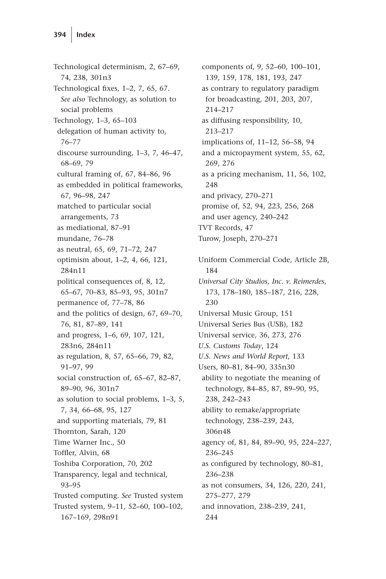Technological determinism, 2, 67–69, 74, 238, 301n3 Technological fixes, 1–2, 7, 65, 67. *See also* Technology, as solution to social problems Technology, 1–3, 65–103 delegation of human activity to, 76–77 discourse surrounding, 1–3, 7, 46–47, 68–69, 79 cultural framing of, 67, 84–86, 96 as embedded in political frameworks, 67, 96–98, 247 matched to particular social arrangements, 73 as mediational, 87–91 mundane, 76–78 as neutral, 65, 69, 71–72, 247 optimism about, 1–2, 4, 66, 121, 284n11 political consequences of, 8, 12, 65–67, 70–83, 85–93, 95, 301n7 permanence of, 77–78, 86 and the politics of design, 67, 69–70, 76, 81, 87–89, 141 and progress, 1–6, 69, 107, 121, 283n6, 284n11 as regulation, 8, 57, 65–66, 79, 82, 91–97, 99 social construction of, 65–67, 82–87, 89–90, 96, 301n7 as solution to social problems, 1–3, 5, 7, 34, 66–68, 95, 127 and supporting materials, 79, 81 Thornton, Sarah, 120 Time Warner Inc., 50 Toffler, Alvin, 68 Toshiba Corporation, 70, 202 Transparency, legal and technical, 93–95 Trusted computing. *See* Trusted system Trusted system, 9–11, 52–60, 100–102, 167–169, 298n91

components of, 9, 52–60, 100–101, 139, 159, 178, 181, 193, 247 as contrary to regulatory paradigm for broadcasting, 201, 203, 207, 214–217 as diffusing responsibility, 10, 213–217 implications of, 11–12, 56–58, 94 and a micropayment system, 55, 62, 269, 276 as a pricing mechanism, 11, 56, 102, 248 and privacy, 270–271 promise of, 52, 94, 223, 256, 268 and user agency, 240–242 TVT Records, 47 Turow, Joseph, 270–271 Uniform Commercial Code, Article 2B, 184 *Universal City Studios, Inc. v. Reimerdes*, 173, 178–180, 185–187, 216, 228, 230 Universal Music Group, 151 Universal Series Bus (USB), 182 Universal service, 36, 273, 276 *U.S. Customs Today*, 124 *U.S. News and World Report*, 133 Users, 80–81, 84–90, 335n30 ability to negotiate the meaning of technology, 84–85, 87, 89–90, 95, 238, 242–243 ability to remake/appropriate technology, 238–239, 243, 306n48 agency of, 81, 84, 89–90, 95, 224–227, 236–245 as configured by technology, 80–81, 236–238 as not consumers, 34, 126, 220, 241, 275–277, 279 and innovation, 238–239, 241, 244